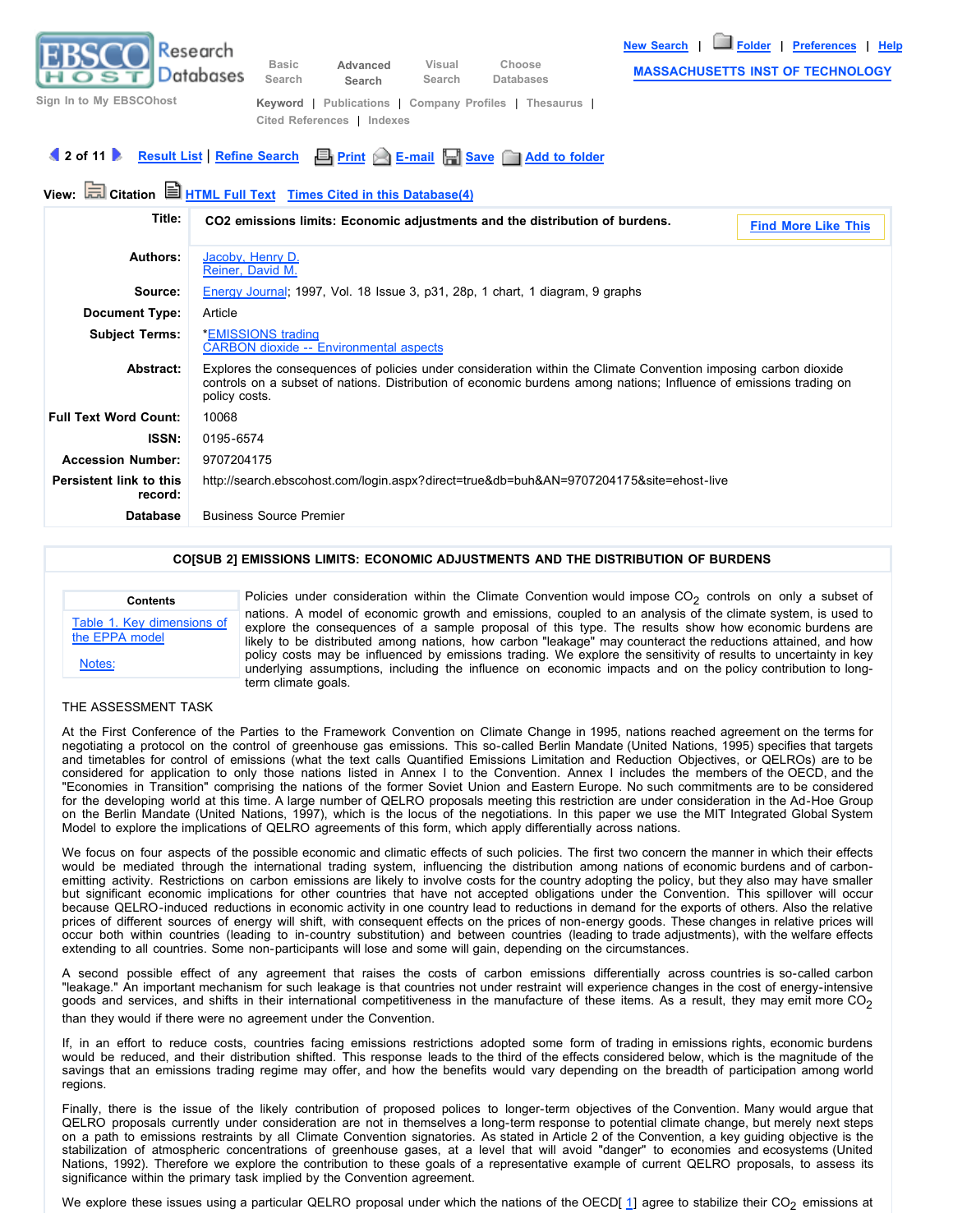| Sign In to My EBSCOhost<br>$2$ of 11 | Research<br><b>Basic</b><br>Visual<br>Choose<br>Advanced<br>Databases<br>Search<br>Search<br><b>Databases</b><br>Search<br>Publications   Company Profiles   Thesaurus  <br>Kevword<br>Cited References   Indexes<br><b>Result List   Refine Search</b><br><b>Example 2 E-mail</b> Save Add to folder<br>View: E Citation $\Xi$ HTML Full Text Times Cited in this Database(4) | <b>Folder</b><br><b>Preferences</b><br><b>New Search</b><br><b>Help</b><br><b>MASSACHUSETTS INST OF TECHNOLOGY</b> |
|--------------------------------------|--------------------------------------------------------------------------------------------------------------------------------------------------------------------------------------------------------------------------------------------------------------------------------------------------------------------------------------------------------------------------------|--------------------------------------------------------------------------------------------------------------------|
| Title:                               | CO2 emissions limits: Economic adjustments and the distribution of burdens.                                                                                                                                                                                                                                                                                                    | <b>Find More Like This</b>                                                                                         |
| Authors:                             | Jacoby, Henry D.<br>Reiner, David M.                                                                                                                                                                                                                                                                                                                                           |                                                                                                                    |
| Source:                              | Energy Journal: 1997, Vol. 18 Issue 3, p31, 28p, 1 chart, 1 diagram, 9 graphs                                                                                                                                                                                                                                                                                                  |                                                                                                                    |
| <b>Document Type:</b>                | Article                                                                                                                                                                                                                                                                                                                                                                        |                                                                                                                    |
| <b>Subject Terms:</b>                | *EMISSIONS trading<br><b>CARBON dioxide -- Environmental aspects</b>                                                                                                                                                                                                                                                                                                           |                                                                                                                    |
| Abstract:                            | Explores the consequences of policies under consideration within the Climate Convention imposing carbon dioxide<br>controls on a subset of nations. Distribution of economic burdens among nations; Influence of emissions trading on<br>policy costs.                                                                                                                         |                                                                                                                    |
| <b>Full Text Word Count:</b>         | 10068                                                                                                                                                                                                                                                                                                                                                                          |                                                                                                                    |
| <b>ISSN:</b>                         | 0195-6574                                                                                                                                                                                                                                                                                                                                                                      |                                                                                                                    |
| <b>Accession Number:</b>             | 9707204175                                                                                                                                                                                                                                                                                                                                                                     |                                                                                                                    |
| Persistent link to this<br>record:   | http://search.ebscohost.com/login.aspx?direct=true&db=buh&AN=9707204175&site=ehost-live                                                                                                                                                                                                                                                                                        |                                                                                                                    |
| <b>Database</b>                      | <b>Business Source Premier</b>                                                                                                                                                                                                                                                                                                                                                 |                                                                                                                    |

# **CO[SUB 2] EMISSIONS LIMITS: ECONOMIC ADJUSTMENTS AND THE DISTRIBUTION OF BURDENS**

| <b>Contents</b>                                        | Policies under consideration within the Climate Convention would impose $CO2$ controls on only a subset of                                                                                                                                                                                                                                                                                                                                                                                                                                                                                     |
|--------------------------------------------------------|------------------------------------------------------------------------------------------------------------------------------------------------------------------------------------------------------------------------------------------------------------------------------------------------------------------------------------------------------------------------------------------------------------------------------------------------------------------------------------------------------------------------------------------------------------------------------------------------|
| Table 1. Key dimensions of<br>the EPPA model<br>Notes: | nations. A model of economic growth and emissions, coupled to an analysis of the climate system, is used to<br>explore the consequences of a sample proposal of this type. The results show how economic burdens are<br>likely to be distributed among nations, how carbon "leakage" may counteract the reductions attained, and how<br>policy costs may be influenced by emissions trading. We explore the sensitivity of results to uncertainty in key<br>underlying assumptions, including the influence on economic impacts and on the policy contribution to long-<br>term climate goals. |

## THE ASSESSMENT TASK

At the First Conference of the Parties to the Framework Convention on Climate Change in 1995, nations reached agreement on the terms for negotiating a protocol on the control of greenhouse gas emissions. This so-called Berlin Mandate (United Nations, 1995) specifies that targets and timetables for control of emissions (what the text calls Quantified Emissions Limitation and Reduction Objectives, or QELROs) are to be considered for application to only those nations listed in Annex I to the Convention. Annex I includes the members of the OECD, and the "Economies in Transition" comprising the nations of the former Soviet Union and Eastern Europe. No such commitments are to be considered for the developing world at this time. A large number of QELRO proposals meeting this restriction are under consideration in the Ad-Hoe Group on the Berlin Mandate (United Nations, 1997), which is the locus of the negotiations. In this paper we use the MIT Integrated Global System Model to explore the implications of QELRO agreements of this form, which apply differentially across nations.

We focus on four aspects of the possible economic and climatic effects of such policies. The first two concern the manner in which their effects would be mediated through the international trading system, influencing the distribution among nations of economic burdens and of carbonemitting activity. Restrictions on carbon emissions are likely to involve costs for the country adopting the policy, but they also may have smaller but significant economic implications for other countries that have not accepted obligations under the Convention. This spillover will occur because QELRO-induced reductions in economic activity in one country lead to reductions in demand for the exports of others. Also the relative prices of different sources of energy will shift, with consequent effects on the prices of non-energy goods. These changes in relative prices will occur both within countries (leading to in-country substitution) and between countries (leading to trade adjustments), with the welfare effects extending to all countries. Some non-participants will lose and some will gain, depending on the circumstances.

A second possible effect of any agreement that raises the costs of carbon emissions differentially across countries is so-called carbon "leakage." An important mechanism for such leakage is that countries not under restraint will experience changes in the cost of energy-intensive goods and services, and shifts in their international competitiveness in the manufacture of these items. As a result, they may emit more  $CO<sub>2</sub>$ than they would if there were no agreement under the Convention.

If, in an effort to reduce costs, countries facing emissions restrictions adopted some form of trading in emissions rights, economic burdens would be reduced, and their distribution shifted. This response leads to the third of the effects considered below, which is the magnitude of the savings that an emissions trading regime may offer, and how the benefits would vary depending on the breadth of participation among world regions.

Finally, there is the issue of the likely contribution of proposed polices to longer-term objectives of the Convention. Many would argue that QELRO proposals currently under consideration are not in themselves a long-term response to potential climate change, but merely next steps on a path to emissions restraints by all Climate Convention signatories. As stated in Article 2 of the Convention, a key guiding objective is the stabilization of atmospheric concentrations of greenhouse gases, at a level that will avoid "danger" to economies and ecosystems (United Nations, 1992). Therefore we explore the contribution to these goals of a representative example of current QELRO proposals, to assess its significance within the primary task implied by the Convention agreement.

We explore these issues using a particular QELRO proposal under which the nations of the OECD[1] agree to stabilize their CO<sub>2</sub> emissions at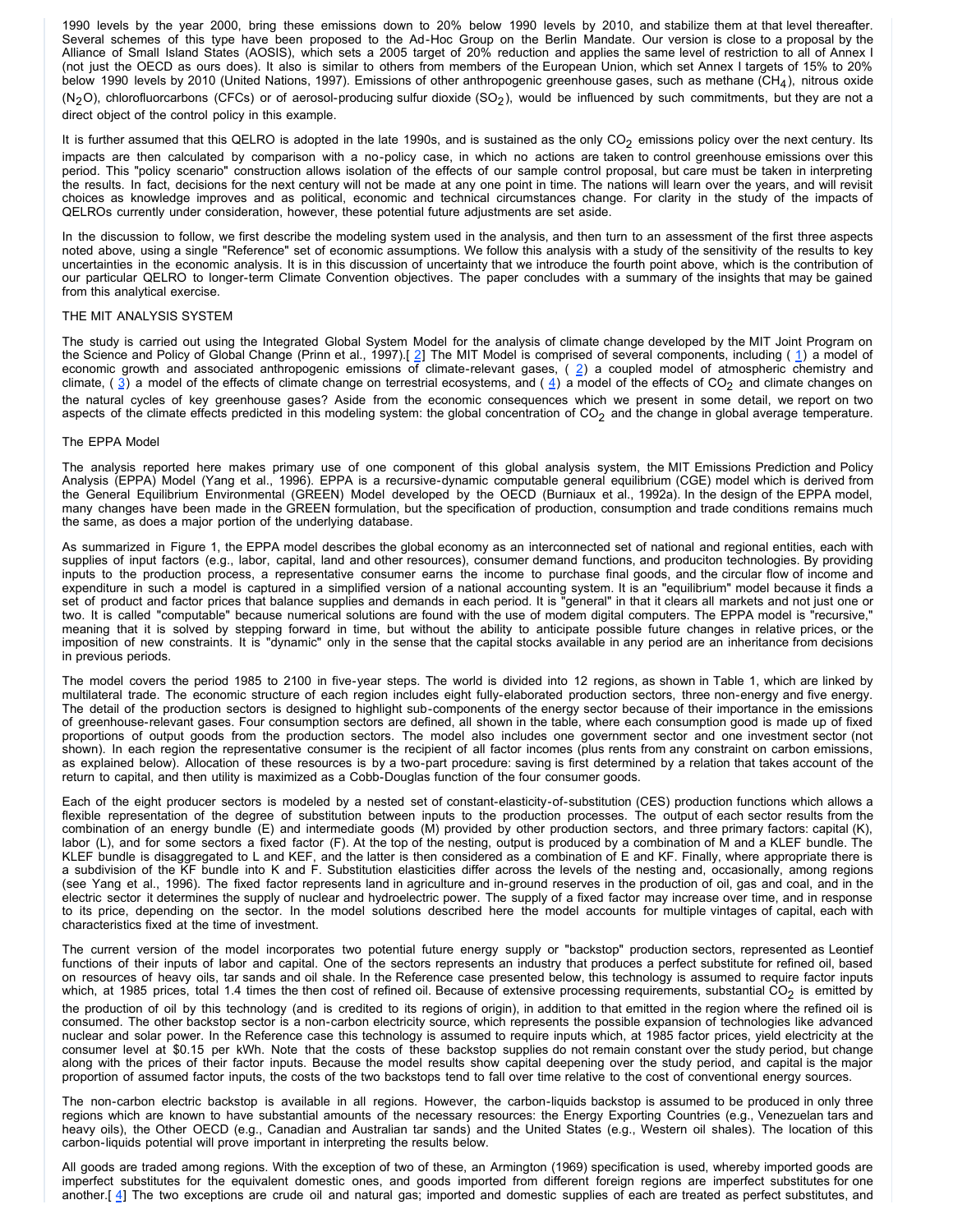1990 levels by the year 2000, bring these emissions down to 20% below 1990 levels by 2010, and stabilize them at that level thereafter. Several schemes of this type have been proposed to the Ad-Hoc Group on the Berlin Mandate. Our version is close to a proposal by the Alliance of Small Island States (AOSIS), which sets a 2005 target of 20% reduction and applies the same level of restriction to all of Annex I (not just the OECD as ours does). It also is similar to others from members of the European Union, which set Annex I targets of 15% to 20% below 1990 levels by 2010 (United Nations, 1997). Emissions of other anthropogenic greenhouse gases, such as methane (CH<sub>4</sub>), nitrous oxide  $(N<sub>2</sub>O)$ , chlorofluorcarbons (CFCs) or of aerosol-producing sulfur dioxide (SO<sub>2</sub>), would be influenced by such commitments, but they are not a direct object of the control policy in this example.

It is further assumed that this QELRO is adopted in the late 1990s, and is sustained as the only  $CO<sub>2</sub>$  emissions policy over the next century. Its impacts are then calculated by comparison with a no-policy case, in which no actions are taken to control greenhouse emissions over this period. This "policy scenario" construction allows isolation of the effects of our sample control proposal, but care must be taken in interpreting the results. In fact, decisions for the next century will not be made at any one point in time. The nations will learn over the years, and will revisit choices as knowledge improves and as political, economic and technical circumstances change. For clarity in the study of the impacts of QELROs currently under consideration, however, these potential future adjustments are set aside.

In the discussion to follow, we first describe the modeling system used in the analysis, and then turn to an assessment of the first three aspects noted above, using a single "Reference" set of economic assumptions. We follow this analysis with a study of the sensitivity of the results to key uncertainties in the economic analysis. It is in this discussion of uncertainty that we introduce the fourth point above, which is the contribution of our particular QELRO to longer-term Climate Convention objectives. The paper concludes with a summary of the insights that may be gained from this analytical exercise.

#### THE MIT ANALYSIS SYSTEM

The study is carried out using the Integrated Global System Model for the analysis of climate change developed by the MIT Joint Program on the Science and Policy of Global Change (Prinn et al., 1997).[2] The MIT Model is comprised of several components, including (1) a model of economic growth and associated anthropogenic emissions of climate-relevant gases, (2) a coupled model of atmospheric chemistry and climate, ( $\frac{3}{2}$ ) a model of the effects of climate change on terrestrial ecosystems, and ( $\frac{4}{2}$ ) a model of the effects of CO<sub>2</sub> and climate changes on the natural cycles of key greenhouse gases? Aside from the economic consequences which we present in some detail, we report on two aspects of the climate effects predicted in this modeling system: the global concentration of  $CO<sub>2</sub>$  and the change in global average temperature.

#### The EPPA Model

The analysis reported here makes primary use of one component of this global analysis system, the MIT Emissions Prediction and Policy Analysis (EPPA) Model (Yang et al., 1996). EPPA is a recursive-dynamic computable general equilibrium (CGE) model which is derived from the General Equilibrium Environmental (GREEN) Model developed by the OECD (Burniaux et al., 1992a). In the design of the EPPA model, many changes have been made in the GREEN formulation, but the specification of production, consumption and trade conditions remains much the same, as does a major portion of the underlying database.

As summarized in Figure 1, the EPPA model describes the global economy as an interconnected set of national and regional entities, each with supplies of input factors (e.g., labor, capital, land and other resources), consumer demand functions, and produciton technologies. By providing inputs to the production process, a representative consumer earns the income to purchase final goods, and the circular flow of income and expenditure in such a model is captured in a simplified version of a national accounting system. It is an "equilibrium" model because it finds a set of product and factor prices that balance supplies and demands in each period. It is "general" in that it clears all markets and not just one or two. It is called "computable" because numerical solutions are found with the use of modem digital computers. The EPPA model is "recursive," meaning that it is solved by stepping forward in time, but without the ability to anticipate possible future changes in relative prices, or the imposition of new constraints. It is "dynamic" only in the sense that the capital stocks available in any period are an inheritance from decisions in previous periods.

The model covers the period 1985 to 2100 in five-year steps. The world is divided into 12 regions, as shown in Table 1, which are linked by multilateral trade. The economic structure of each region includes eight fully-elaborated production sectors, three non-energy and five energy. The detail of the production sectors is designed to highlight sub-components of the energy sector because of their importance in the emissions of greenhouse-relevant gases. Four consumption sectors are defined, all shown in the table, where each consumption good is made up of fixed proportions of output goods from the production sectors. The model also includes one government sector and one investment sector (not shown). In each region the representative consumer is the recipient of all factor incomes (plus rents from any constraint on carbon emissions, as explained below). Allocation of these resources is by a two-part procedure: saving is first determined by a relation that takes account of the return to capital, and then utility is maximized as a Cobb-Douglas function of the four consumer goods.

Each of the eight producer sectors is modeled by a nested set of constant-elasticity-of-substitution (CES) production functions which allows a flexible representation of the degree of substitution between inputs to the production processes. The output of each sector results from the combination of an energy bundle (E) and intermediate goods (M) provided by other production sectors, and three primary factors: capital (K), labor (L), and for some sectors a fixed factor (F). At the top of the nesting, output is produced by a combination of M and a KLEF bundle. The KLEF bundle is disaggregated to L and KEF, and the latter is then considered as a combination of E and KF. Finally, where appropriate there is a subdivision of the KF bundle into K and F. Substitution elasticities differ across the levels of the nesting and, occasionally, among regions (see Yang et al., 1996). The fixed factor represents land in agriculture and in-ground reserves in the production of oil, gas and coal, and in the electric sector it determines the supply of nuclear and hydroelectric power. The supply of a fixed factor may increase over time, and in response to its price, depending on the sector. In the model solutions described here the model accounts for multiple vintages of capital, each with characteristics fixed at the time of investment.

The current version of the model incorporates two potential future energy supply or "backstop" production sectors, represented as Leontief functions of their inputs of labor and capital. One of the sectors represents an industry that produces a perfect substitute for refined oil, based on resources of heavy oils, tar sands and oil shale. In the Reference case presented below, this technology is assumed to require factor inputs which, at 1985 prices, total 1.4 times the then cost of refined oil. Because of extensive processing requirements, substantial CO<sub>2</sub> is emitted by the production of oil by this technology (and is credited to its regions of origin), in addition to that emitted in the region where the refined oil is consumed. The other backstop sector is a non-carbon electricity source, which represents the possible expansion of technologies like advanced nuclear and solar power. In the Reference case this technology is assumed to require inputs which, at 1985 factor prices, yield electricity at the consumer level at \$0.15 per kWh. Note that the costs of these backstop supplies do not remain constant over the study period, but change along with the prices of their factor inputs. Because the model results show capital deepening over the study period, and capital is the major proportion of assumed factor inputs, the costs of the two backstops tend to fall over time relative to the cost of conventional energy sources.

The non-carbon electric backstop is available in all regions. However, the carbon-liquids backstop is assumed to be produced in only three regions which are known to have substantial amounts of the necessary resources: the Energy Exporting Countries (e.g., Venezuelan tars and heavy oils), the Other OECD (e.g., Canadian and Australian tar sands) and the United States (e.g., Western oil shales). The location of this carbon-liquids potential will prove important in interpreting the results below.

All goods are traded among regions. With the exception of two of these, an Armington (1969) specification is used, whereby imported goods are imperfect substitutes for the equivalent domestic ones, and goods imported from different foreign regions are imperfect substitutes for one another.[ 4] The two exceptions are crude oil and natural gas; imported and domestic supplies of each are treated as perfect substitutes, and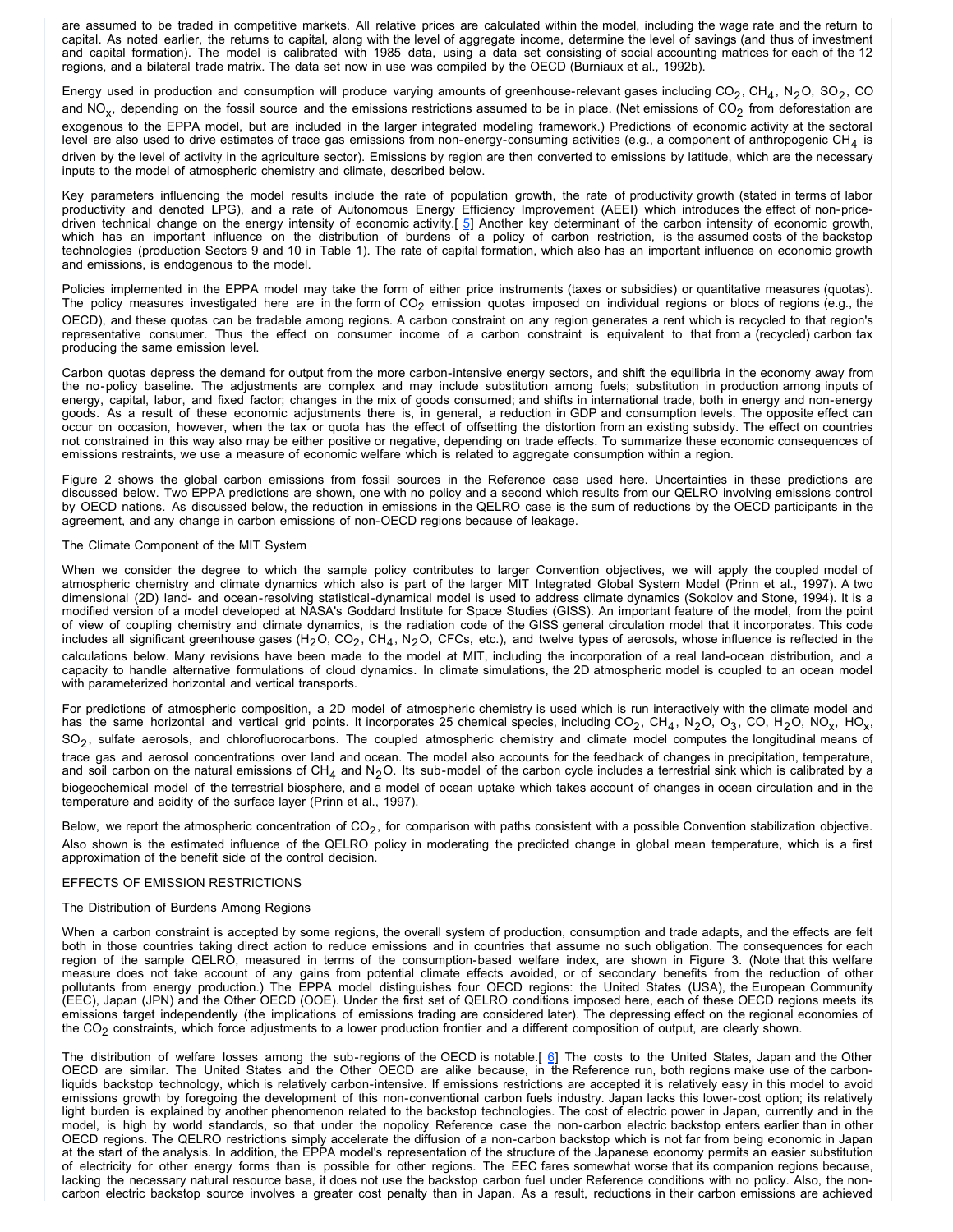are assumed to be traded in competitive markets. All relative prices are calculated within the model, including the wage rate and the return to capital. As noted earlier, the returns to capital, along with the level of aggregate income, determine the level of savings (and thus of investment and capital formation). The model is calibrated with 1985 data, using a data set consisting of social accounting matrices for each of the 12 regions, and a bilateral trade matrix. The data set now in use was compiled by the OECD (Burniaux et al., 1992b).

Energy used in production and consumption will produce varying amounts of greenhouse-relevant gases including  $CO_2$ ,  $CH_4$ , N<sub>2</sub>O, SO<sub>2</sub>, CO and NO<sub>x</sub>, depending on the fossil source and the emissions restrictions assumed to be in place. (Net emissions of CO<sub>2</sub> from deforestation are exogenous to the EPPA model, but are included in the larger integrated modeling framework.) Predictions of economic activity at the sectoral level are also used to drive estimates of trace gas emissions from non-energy-consuming activities (e.g., a component of anthropogenic CH<sub>4</sub> is driven by the level of activity in the agriculture sector). Emissions by region are then converted to emissions by latitude, which are the necessary inputs to the model of atmospheric chemistry and climate, described below.

Key parameters influencing the model results include the rate of population growth, the rate of productivity growth (stated in terms of labor productivity and denoted LPG), and a rate of Autonomous Energy Efficiency Improvement (AEEI) which introduces the effect of non-pricedriven technical change on the energy intensity of economic activity.[5] Another key determinant of the carbon intensity of economic growth, which has an important influence on the distribution of burdens of a policy of carbon restriction, is the assumed costs of the backstop technologies (production Sectors 9 and 10 in Table 1). The rate of capital formation, which also has an important influence on economic growth and emissions, is endogenous to the model.

Policies implemented in the EPPA model may take the form of either price instruments (taxes or subsidies) or quantitative measures (quotas). The policy measures investigated here are in the form of  $CO<sub>2</sub>$  emission quotas imposed on individual regions or blocs of regions (e.g., the OECD), and these quotas can be tradable among regions. A carbon constraint on any region generates a rent which is recycled to that region's representative consumer. Thus the effect on consumer income of a carbon constraint is equivalent to that from a (recycled) carbon tax producing the same emission level.

Carbon quotas depress the demand for output from the more carbon-intensive energy sectors, and shift the equilibria in the economy away from the no-policy baseline. The adjustments are complex and may include substitution among fuels; substitution in production among inputs of energy, capital, labor, and fixed factor; changes in the mix of goods consumed; and shifts in international trade, both in energy and non-energy goods. As a result of these economic adjustments there is, in general, a reduction in GDP and consumption levels. The opposite effect can occur on occasion, however, when the tax or quota has the effect of offsetting the distortion from an existing subsidy. The effect on countries not constrained in this way also may be either positive or negative, depending on trade effects. To summarize these economic consequences of emissions restraints, we use a measure of economic welfare which is related to aggregate consumption within a region.

Figure 2 shows the global carbon emissions from fossil sources in the Reference case used here. Uncertainties in these predictions are discussed below. Two EPPA predictions are shown, one with no policy and a second which results from our QELRO involving emissions control by OECD nations. As discussed below, the reduction in emissions in the QELRO case is the sum of reductions by the OECD participants in the agreement, and any change in carbon emissions of non-OECD regions because of leakage.

## The Climate Component of the MIT System

When we consider the degree to which the sample policy contributes to larger Convention objectives, we will apply the coupled model of atmospheric chemistry and climate dynamics which also is part of the larger MIT Integrated Global System Model (Prinn et al., 1997). A two dimensional (2D) land- and ocean-resolving statistical-dynamical model is used to address climate dynamics (Sokolov and Stone, 1994). It is a modified version of a model developed at NASA's Goddard Institute for Space Studies (GISS). An important feature of the model, from the point of view of coupling chemistry and climate dynamics, is the radiation code of the GISS general circulation model that it incorporates. This code includes all significant greenhouse gases (H<sub>2</sub>O, CO<sub>2</sub>, CH<sub>4</sub>, N<sub>2</sub>O, CFCs, etc.), and twelve types of aerosols, whose influence is reflected in the calculations below. Many revisions have been made to the model at MIT, including the incorporation of a real land-ocean distribution, and a capacity to handle alternative formulations of cloud dynamics. In climate simulations, the 2D atmospheric model is coupled to an ocean model with parameterized horizontal and vertical transports.

For predictions of atmospheric composition, a 2D model of atmospheric chemistry is used which is run interactively with the climate model and has the same horizontal and vertical grid points. It incorporates 25 chemical species, including CO<sub>2</sub>, CH<sub>4</sub>, N<sub>2</sub>O, O<sub>3</sub>, CO, H<sub>2</sub>O, NO<sub>x</sub>, HO<sub>x</sub>, SO<sub>2</sub>, sulfate aerosols, and chlorofluorocarbons. The coupled atmospheric chemistry and climate model computes the longitudinal means of trace gas and aerosol concentrations over land and ocean. The model also accounts for the feedback of changes in precipitation, temperature, and soil carbon on the natural emissions of CH<sub>4</sub> and N<sub>2</sub>O. Its sub-model of the carbon cycle includes a terrestrial sink which is calibrated by a biogeochemical model of the terrestrial biosphere, and a model of ocean uptake which takes account of changes in ocean circulation and in the temperature and acidity of the surface layer (Prinn et al., 1997).

Below, we report the atmospheric concentration of  $CO<sub>2</sub>$ , for comparison with paths consistent with a possible Convention stabilization objective. Also shown is the estimated influence of the QELRO policy in moderating the predicted change in global mean temperature, which is a first approximation of the benefit side of the control decision.

## EFFECTS OF EMISSION RESTRICTIONS

# The Distribution of Burdens Among Regions

When a carbon constraint is accepted by some regions, the overall system of production, consumption and trade adapts, and the effects are felt both in those countries taking direct action to reduce emissions and in countries that assume no such obligation. The consequences for each region of the sample QELRO, measured in terms of the consumption-based welfare index, are shown in Figure 3. (Note that this welfare measure does not take account of any gains from potential climate effects avoided, or of secondary benefits from the reduction of other pollutants from energy production.) The EPPA model distinguishes four OECD regions: the United States (USA), the European Community (EEC), Japan (JPN) and the Other OECD (OOE). Under the first set of QELRO conditions imposed here, each of these OECD regions meets its emissions target independently (the implications of emissions trading are considered later). The depressing effect on the regional economies of the  $CO<sub>2</sub>$  constraints, which force adjustments to a lower production frontier and a different composition of output, are clearly shown.

The distribution of welfare losses among the sub-regions of the OECD is notable.[ 6] The costs to the United States, Japan and the Other OECD are similar. The United States and the Other OECD are alike because, in the Reference run, both regions make use of the carbonliquids backstop technology, which is relatively carbon-intensive. If emissions restrictions are accepted it is relatively easy in this model to avoid emissions growth by foregoing the development of this non-conventional carbon fuels industry. Japan lacks this lower-cost option; its relatively light burden is explained by another phenomenon related to the backstop technologies. The cost of electric power in Japan, currently and in the model, is high by world standards, so that under the nopolicy Reference case the non-carbon electric backstop enters earlier than in other OECD regions. The QELRO restrictions simply accelerate the diffusion of a non-carbon backstop which is not far from being economic in Japan at the start of the analysis. In addition, the EPPA model's representation of the structure of the Japanese economy permits an easier substitution of electricity for other energy forms than is possible for other regions. The EEC fares somewhat worse that its companion regions because, lacking the necessary natural resource base, it does not use the backstop carbon fuel under Reference conditions with no policy. Also, the noncarbon electric backstop source involves a greater cost penalty than in Japan. As a result, reductions in their carbon emissions are achieved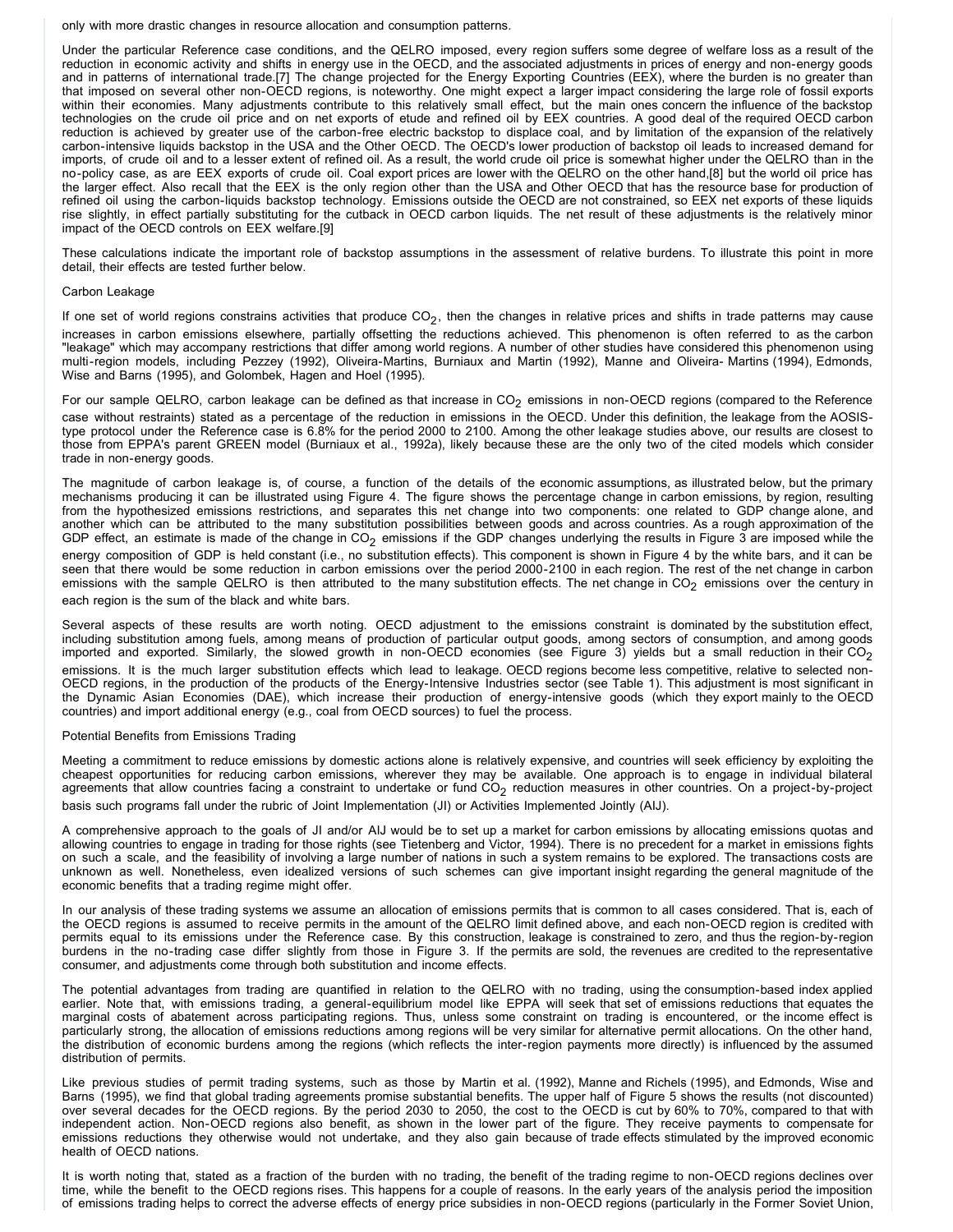only with more drastic changes in resource allocation and consumption patterns.

Under the particular Reference case conditions, and the QELRO imposed, every region suffers some degree of welfare loss as a result of the reduction in economic activity and shifts in energy use in the OECD, and the associated adjustments in prices of energy and non-energy goods and in patterns of international trade.[7] The change projected for the Energy Exporting Countries (EEX), where the burden is no greater than that imposed on several other non-OECD regions, is noteworthy. One might expect a larger impact considering the large role of fossil exports within their economies. Many adjustments contribute to this relatively small effect, but the main ones concern the influence of the backstop technologies on the crude oil price and on net exports of etude and refined oil by EEX countries. A good deal of the required OECD carbon reduction is achieved by greater use of the carbon-free electric backstop to displace coal, and by limitation of the expansion of the relatively carbon-intensive liquids backstop in the USA and the Other OECD. The OECD's lower production of backstop oil leads to increased demand for imports, of crude oil and to a lesser extent of refined oil. As a result, the world crude oil price is somewhat higher under the QELRO than in the no-policy case, as are EEX exports of crude oil. Coal export prices are lower with the QELRO on the other hand,[8] but the world oil price has the larger effect. Also recall that the EEX is the only region other than the USA and Other OECD that has the resource base for production of refined oil using the carbon-liquids backstop technology. Emissions outside the OECD are not constrained, so EEX net exports of these liquids rise slightly, in effect partially substituting for the cutback in OECD carbon liquids. The net result of these adjustments is the relatively minor impact of the OECD controls on EEX welfare.[9]

These calculations indicate the important role of backstop assumptions in the assessment of relative burdens. To illustrate this point in more detail, their effects are tested further below.

#### Carbon Leakage

If one set of world regions constrains activities that produce  $CO<sub>2</sub>$ , then the changes in relative prices and shifts in trade patterns may cause increases in carbon emissions elsewhere, partially offsetting the reductions achieved. This phenomenon is often referred to as the carbon "leakage" which may accompany restrictions that differ among world regions. A number of other studies have considered this phenomenon using multi-region models, including Pezzey (1992), Oliveira-Martins, Burniaux and Martin (1992), Manne and Oliveira- Martins (1994), Edmonds, Wise and Barns (1995), and Golombek, Hagen and Hoel (1995).

For our sample QELRO, carbon leakage can be defined as that increase in  $CO<sub>2</sub>$  emissions in non-OECD regions (compared to the Reference case without restraints) stated as a percentage of the reduction in emissions in the OECD. Under this definition, the leakage from the AOSIStype protocol under the Reference case is 6.8% for the period 2000 to 2100. Among the other leakage studies above, our results are closest to those from EPPA's parent GREEN model (Burniaux et al., 1992a), likely because these are the only two of the cited models which consider trade in non-energy goods.

The magnitude of carbon leakage is, of course, a function of the details of the economic assumptions, as illustrated below, but the primary mechanisms producing it can be illustrated using Figure 4. The figure shows the percentage change in carbon emissions, by region, resulting from the hypothesized emissions restrictions, and separates this net change into two components: one related to GDP change alone, and another which can be attributed to the many substitution possibilities between goods and across countries. As a rough approximation of the GDP effect, an estimate is made of the change in  $CO_2$  emissions if the GDP changes underlying the results in Figure  $\tilde{3}$  are imposed while the energy composition of GDP is held constant (i.e., no substitution effects). This component is shown in Figure 4 by the white bars, and it can be seen that there would be some reduction in carbon emissions over the period 2000-2100 in each region. The rest of the net change in carbon emissions with the sample QELRO is then attributed to the many substitution effects. The net change in CO<sub>2</sub> emissions over the century in each region is the sum of the black and white bars.

Several aspects of these results are worth noting. OECD adjustment to the emissions constraint is dominated by the substitution effect, including substitution among fuels, among means of production of particular output goods, among sectors of consumption, and among goods imported and exported. Similarly, the slowed growth in non-OECD economies (see Figure 3) yields but a small reduction in their  $CO<sub>2</sub>$ emissions. It is the much larger substitution effects which lead to leakage. OECD regions become less competitive, relative to selected non-OECD regions, in the production of the products of the Energy-Intensive Industries sector (see Table 1). This adjustment is most significant in the Dynamic Asian Economies (DAE), which increase their production of energy-intensive goods (which they export mainly to the OECD countries) and import additional energy (e.g., coal from OECD sources) to fuel the process.

#### Potential Benefits from Emissions Trading

Meeting a commitment to reduce emissions by domestic actions alone is relatively expensive, and countries will seek efficiency by exploiting the cheapest opportunities for reducing carbon emissions, wherever they may be available. One approach is to engage in individual bilateral agreements that allow countries facing a constraint to undertake or fund CO<sub>2</sub> reduction measures in other countries. On a project-by-project basis such programs fall under the rubric of Joint Implementation (JI) or Activities Implemented Jointly (AIJ).

A comprehensive approach to the goals of JI and/or AIJ would be to set up a market for carbon emissions by allocating emissions quotas and allowing countries to engage in trading for those rights (see Tietenberg and Victor, 1994). There is no precedent for a market in emissions fights on such a scale, and the feasibility of involving a large number of nations in such a system remains to be explored. The transactions costs are unknown as well. Nonetheless, even idealized versions of such schemes can give important insight regarding the general magnitude of the economic benefits that a trading regime might offer.

In our analysis of these trading systems we assume an allocation of emissions permits that is common to all cases considered. That is, each of the OECD regions is assumed to receive permits in the amount of the QELRO limit defined above, and each non-OECD region is credited with permits equal to its emissions under the Reference case. By this construction, leakage is constrained to zero, and thus the region-by-region burdens in the no-trading case differ slightly from those in Figure 3. If the permits are sold, the revenues are credited to the representative consumer, and adjustments come through both substitution and income effects.

The potential advantages from trading are quantified in relation to the QELRO with no trading, using the consumption-based index applied earlier. Note that, with emissions trading, a general-equilibrium model like EPPA will seek that set of emissions reductions that equates the marginal costs of abatement across participating regions. Thus, unless some constraint on trading is encountered, or the income effect is particularly strong, the allocation of emissions reductions among regions will be very similar for alternative permit allocations. On the other hand, the distribution of economic burdens among the regions (which reflects the inter-region payments more directly) is influenced by the assumed distribution of permits.

Like previous studies of permit trading systems, such as those by Martin et al. (1992), Manne and Richels (1995), and Edmonds, Wise and Barns (1995), we find that global trading agreements promise substantial benefits. The upper half of Figure 5 shows the results (not discounted) over several decades for the OECD regions. By the period 2030 to 2050, the cost to the OECD is cut by 60% to 70%, compared to that with independent action. Non-OECD regions also benefit, as shown in the lower part of the figure. They receive payments to compensate for emissions reductions they otherwise would not undertake, and they also gain because of trade effects stimulated by the improved economic health of OECD nations.

It is worth noting that, stated as a fraction of the burden with no trading, the benefit of the trading regime to non-OECD regions declines over time, while the benefit to the OECD regions rises. This happens for a couple of reasons. In the early years of the analysis period the imposition of emissions trading helps to correct the adverse effects of energy price subsidies in non-OECD regions (particularly in the Former Soviet Union,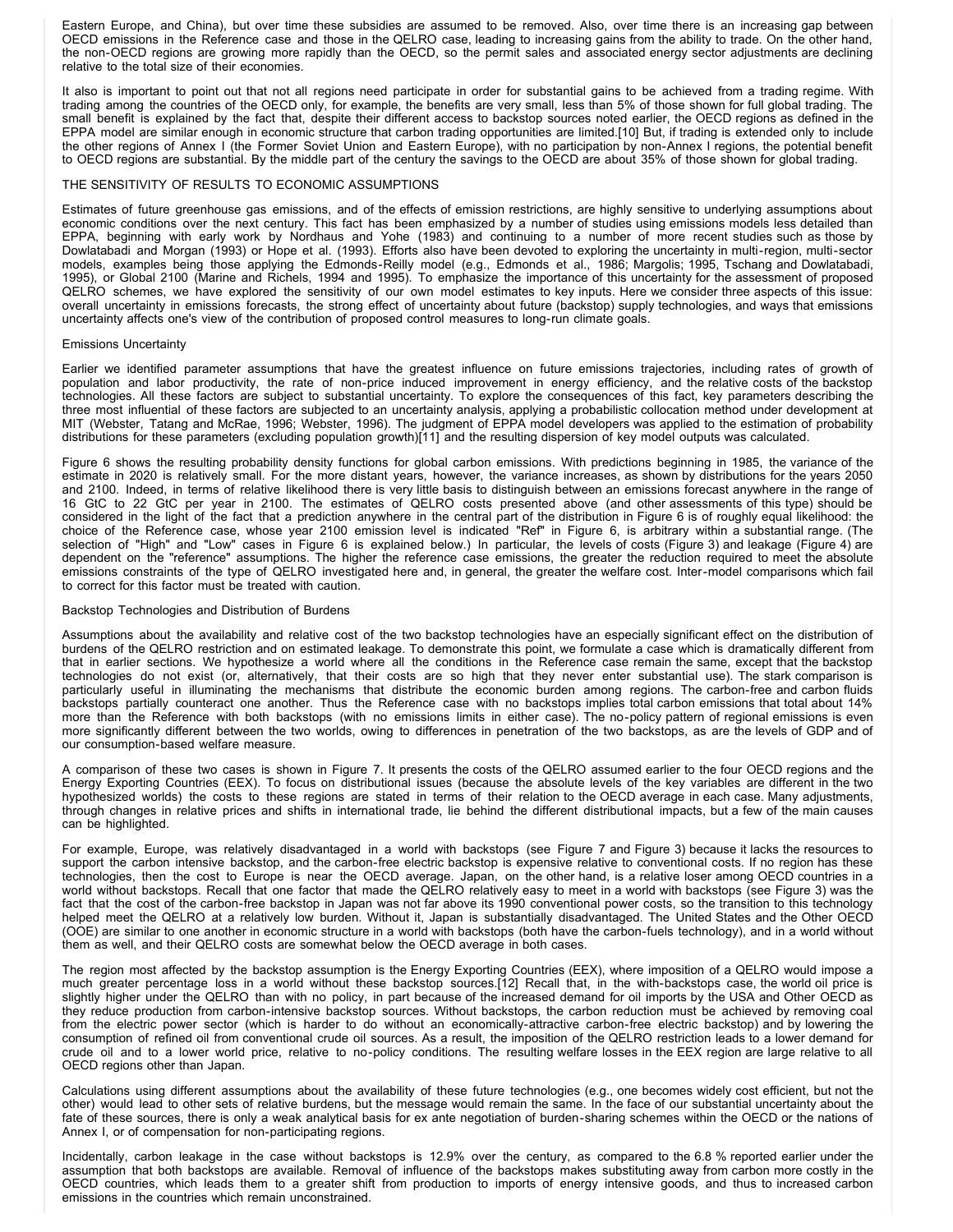Eastern Europe, and China), but over time these subsidies are assumed to be removed. Also, over time there is an increasing gap between OECD emissions in the Reference case and those in the QELRO case, leading to increasing gains from the ability to trade. On the other hand, the non-OECD regions are growing more rapidly than the OECD, so the permit sales and associated energy sector adjustments are declining relative to the total size of their economies.

It also is important to point out that not all regions need participate in order for substantial gains to be achieved from a trading regime. With trading among the countries of the OECD only, for example, the benefits are very small, less than 5% of those shown for full global trading. The small benefit is explained by the fact that, despite their different access to backstop sources noted earlier, the OECD regions as defined in the EPPA model are similar enough in economic structure that carbon trading opportunities are limited.[10] But, if trading is extended only to include the other regions of Annex I (the Former Soviet Union and Eastern Europe), with no participation by non-Annex I regions, the potential benefit to OECD regions are substantial. By the middle part of the century the savings to the OECD are about 35% of those shown for global trading.

## THE SENSITIVITY OF RESULTS TO ECONOMIC ASSUMPTIONS

Estimates of future greenhouse gas emissions, and of the effects of emission restrictions, are highly sensitive to underlying assumptions about economic conditions over the next century. This fact has been emphasized by a number of studies using emissions models less detailed than EPPA, beginning with early work by Nordhaus and Yohe (1983) and continuing to a number of more recent studies such as those by Dowlatabadi and Morgan (1993) or Hope et al. (1993). Efforts also have been devoted to exploring the uncertainty in multi-region, multi-sector models, examples being those applying the Edmonds-Reilly model (e.g., Edmonds et al., 1986; Margolis; 1995, Tschang and Dowlatabadi, 1995), or Global 2100 (Marine and Richels, 1994 and 1995). To emphasize the importance of this uncertainty for the assessment of proposed QELRO schemes, we have explored the sensitivity of our own model estimates to key inputs. Here we consider three aspects of this issue: overall uncertainty in emissions forecasts, the strong effect of uncertainty about future (backstop) supply technologies, and ways that emissions uncertainty affects one's view of the contribution of proposed control measures to long-run climate goals.

#### Emissions Uncertainty

Earlier we identified parameter assumptions that have the greatest influence on future emissions trajectories, including rates of growth of population and labor productivity, the rate of non-price induced improvement in energy efficiency, and the relative costs of the backstop technologies. All these factors are subject to substantial uncertainty. To explore the consequences of this fact, key parameters describing the three most influential of these factors are subjected to an uncertainty analysis, applying a probabilistic collocation method under development at MIT (Webster, Tatang and McRae, 1996; Webster, 1996). The judgment of EPPA model developers was applied to the estimation of probability distributions for these parameters (excluding population growth)[11] and the resulting dispersion of key model outputs was calculated.

Figure 6 shows the resulting probability density functions for global carbon emissions. With predictions beginning in 1985, the variance of the estimate in 2020 is relatively small. For the more distant years, however, the variance increases, as shown by distributions for the years 2050 and 2100. Indeed, in terms of relative likelihood there is very little basis to distinguish between an emissions forecast anywhere in the range of 16 GtC to 22 GtC per year in 2100. The estimates of QELRO costs presented above (and other assessments of this type) should be considered in the light of the fact that a prediction anywhere in the central part of the distribution in Figure 6 is of roughly equal likelihood: the choice of the Reference case, whose year 2100 emission level is indicated "Ref" in Figure 6, is arbitrary within a substantial range. (The selection of "High" and "Low" cases in Figure 6 is explained below.) In particular, the levels of costs (Figure 3) and leakage (Figure 4) are dependent on the "reference" assumptions. The higher the reference case emissions, the greater the reduction required to meet the absolute emissions constraints of the type of QELRO investigated here and, in general, the greater the welfare cost. Inter-model comparisons which fail to correct for this factor must be treated with caution.

#### Backstop Technologies and Distribution of Burdens

Assumptions about the availability and relative cost of the two backstop technologies have an especially significant effect on the distribution of burdens of the QELRO restriction and on estimated leakage. To demonstrate this point, we formulate a case which is dramatically different from that in earlier sections. We hypothesize a world where all the conditions in the Reference case remain the same, except that the backstop technologies do not exist (or, alternatively, that their costs are so high that they never enter substantial use). The stark comparison is particularly useful in illuminating the mechanisms that distribute the economic burden among regions. The carbon-free and carbon fluids backstops partially counteract one another. Thus the Reference case with no backstops implies total carbon emissions that total about 14% more than the Reference with both backstops (with no emissions limits in either case). The no-policy pattern of regional emissions is even more significantly different between the two worlds, owing to differences in penetration of the two backstops, as are the levels of GDP and of our consumption-based welfare measure.

A comparison of these two cases is shown in Figure 7. It presents the costs of the QELRO assumed earlier to the four OECD regions and the Energy Exporting Countries (EEX). To focus on distributional issues (because the absolute levels of the key variables are different in the two hypothesized worlds) the costs to these regions are stated in terms of their relation to the OECD average in each case. Many adjustments, through changes in relative prices and shifts in international trade, lie behind the different distributional impacts, but a few of the main causes can be highlighted.

For example, Europe, was relatively disadvantaged in a world with backstops (see Figure 7 and Figure 3) because it lacks the resources to support the carbon intensive backstop, and the carbon-free electric backstop is expensive relative to conventional costs. If no region has these technologies, then the cost to Europe is near the OECD average. Japan, on the other hand, is a relative loser among OECD countries in a world without backstops. Recall that one factor that made the QELRO relatively easy to meet in a world with backstops (see Figure 3) was the fact that the cost of the carbon-free backstop in Japan was not far above its 1990 conventional power costs, so the transition to this technology helped meet the QELRO at a relatively low burden. Without it, Japan is substantially disadvantaged. The United States and the Other OECD (OOE) are similar to one another in economic structure in a world with backstops (both have the carbon-fuels technology), and in a world without them as well, and their QELRO costs are somewhat below the OECD average in both cases.

The region most affected by the backstop assumption is the Energy Exporting Countries (EEX), where imposition of a QELRO would impose a much greater percentage loss in a world without these backstop sources.[12] Recall that, in the with-backstops case, the world oil price is slightly higher under the QELRO than with no policy, in part because of the increased demand for oil imports by the USA and Other OECD as they reduce production from carbon-intensive backstop sources. Without backstops, the carbon reduction must be achieved by removing coal from the electric power sector (which is harder to do without an economically-attractive carbon-free electric backstop) and by lowering the consumption of refined oil from conventional crude oil sources. As a result, the imposition of the QELRO restriction leads to a lower demand for crude oil and to a lower world price, relative to no-policy conditions. The resulting welfare losses in the EEX region are large relative to all OECD regions other than Japan.

Calculations using different assumptions about the availability of these future technologies (e.g., one becomes widely cost efficient, but not the other) would lead to other sets of relative burdens, but the message would remain the same. In the face of our substantial uncertainty about the fate of these sources, there is only a weak analytical basis for ex ante negotiation of burden-sharing schemes within the OECD or the nations of Annex I, or of compensation for non-participating regions.

Incidentally, carbon leakage in the case without backstops is 12.9% over the century, as compared to the 6.8 % reported earlier under the assumption that both backstops are available. Removal of influence of the backstops makes substituting away from carbon more costly in the OECD countries, which leads them to a greater shift from production to imports of energy intensive goods, and thus to increased carbon emissions in the countries which remain unconstrained.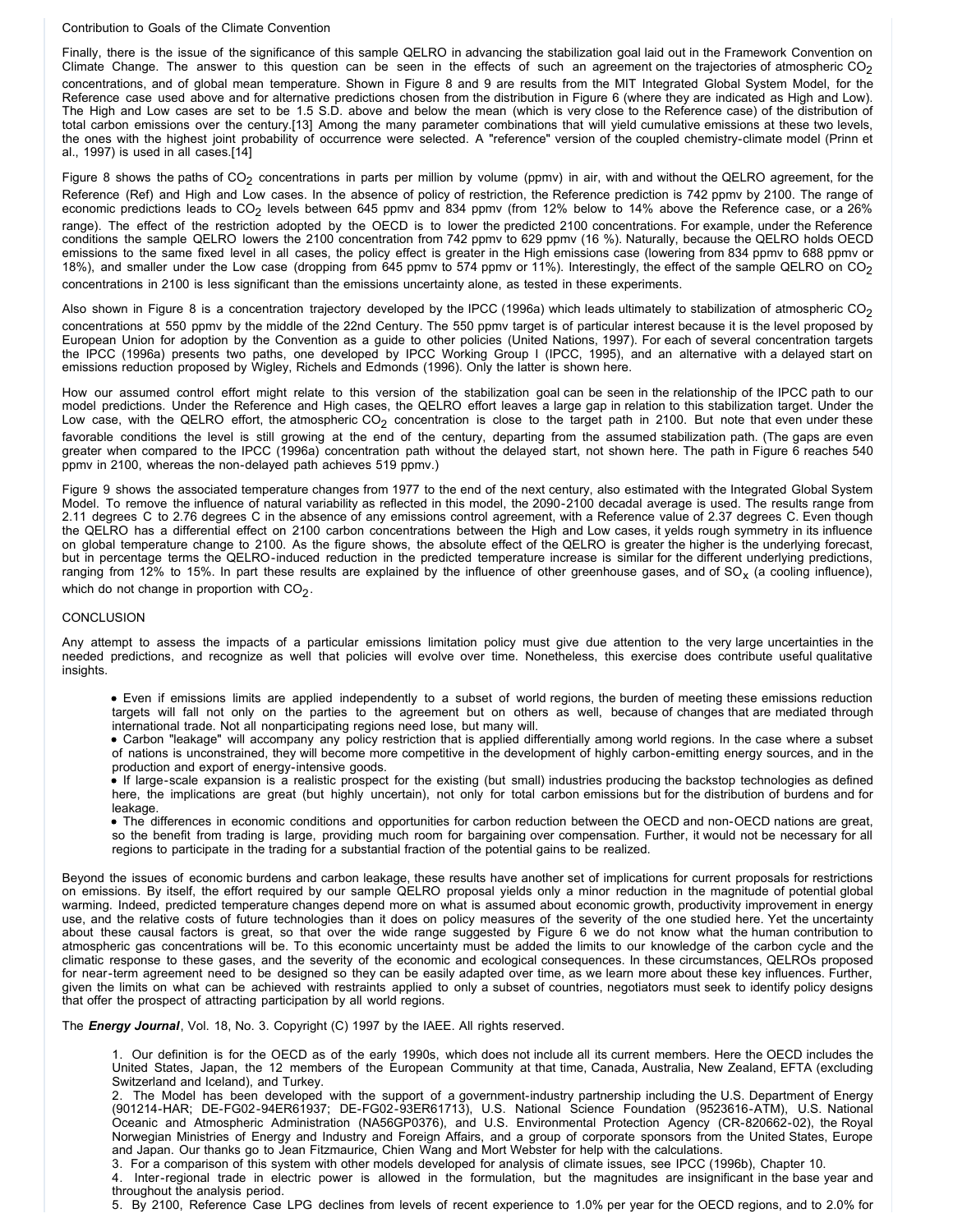### Contribution to Goals of the Climate Convention

Finally, there is the issue of the significance of this sample QELRO in advancing the stabilization goal laid out in the Framework Convention on Climate Change. The answer to this question can be seen in the effects of such an agreement on the trajectories of atmospheric  $CO<sub>2</sub>$ concentrations, and of global mean temperature. Shown in Figure 8 and 9 are results from the MIT Integrated Global System Model, for the Reference case used above and for alternative predictions chosen from the distribution in Figure 6 (where they are indicated as High and Low). The High and Low cases are set to be 1.5 S.D. above and below the mean (which is very close to the Reference case) of the distribution of total carbon emissions over the century.[13] Among the many parameter combinations that will yield cumulative emissions at these two levels, the ones with the highest joint probability of occurrence were selected. A "reference" version of the coupled chemistry-climate model (Prinn et al., 1997) is used in all cases.[14]

Figure 8 shows the paths of  $CO<sub>2</sub>$  concentrations in parts per million by volume (ppmv) in air, with and without the QELRO agreement, for the Reference (Ref) and High and Low cases. In the absence of policy of restriction, the Reference prediction is 742 ppmv by 2100. The range of economic predictions leads to CO<sub>2</sub> levels between 645 ppmv and 834 ppmv (from 12% below to 14% above the Reference case, or a 26% range). The effect of the restriction adopted by the OECD is to lower the predicted 2100 concentrations. For example, under the Reference conditions the sample QELRO lowers the 2100 concentration from 742 ppmv to 629 ppmv (16 %). Naturally, because the QELRO holds OECD emissions to the same fixed level in all cases, the policy effect is greater in the High emissions case (lowering from 834 ppmv to 688 ppmv or 18%), and smaller under the Low case (dropping from 645 ppmv to 574 ppmv or 11%). Interestingly, the effect of the sample QELRO on CO<sub>2</sub> concentrations in 2100 is less significant than the emissions uncertainty alone, as tested in these experiments.

Also shown in Figure 8 is a concentration trajectory developed by the IPCC (1996a) which leads ultimately to stabilization of atmospheric  $CO<sub>2</sub>$ concentrations at 550 ppmv by the middle of the 22nd Century. The 550 ppmv target is of particular interest because it is the level proposed by European Union for adoption by the Convention as a guide to other policies (United Nations, 1997). For each of several concentration targets the IPCC (1996a) presents two paths, one developed by IPCC Working Group I (IPCC, 1995), and an alternative with a delayed start on emissions reduction proposed by Wigley, Richels and Edmonds (1996). Only the latter is shown here.

How our assumed control effort might relate to this version of the stabilization goal can be seen in the relationship of the IPCC path to our model predictions. Under the Reference and High cases, the QELRO effort leaves a large gap in relation to this stabilization target. Under the Low case, with the QELRO effort, the atmospheric  $CO<sub>2</sub>$  concentration is close to the target path in 2100. But note that even under these favorable conditions the level is still growing at the end of the century, departing from the assumed stabilization path. (The gaps are even greater when compared to the IPCC (1996a) concentration path without the delayed start, not shown here. The path in Figure 6 reaches 540 ppmv in 2100, whereas the non-delayed path achieves 519 ppmv.)

Figure 9 shows the associated temperature changes from 1977 to the end of the next century, also estimated with the Integrated Global System Model. To remove the influence of natural variability as reflected in this model, the 2090-2100 decadal average is used. The results range from 2.11 degrees C to 2.76 degrees C in the absence of any emissions control agreement, with a Reference value of 2.37 degrees C. Even though the QELRO has a differential effect on 2100 carbon concentrations between the High and Low cases, it yelds rough symmetry in its influence on global temperature change to 2100. As the figure shows, the absolute effect of the QELRO is greater the higher is the underlying forecast, but in percentage terms the QELRO-induced reduction in the predicted temperature increase is similar for the different underlying predictions, ranging from 12% to 15%. In part these results are explained by the influence of other greenhouse gases, and of  $SO<sub>x</sub>$  (a cooling influence), which do not change in proportion with  $CO<sub>2</sub>$ .

## **CONCLUSION**

Any attempt to assess the impacts of a particular emissions limitation policy must give due attention to the very large uncertainties in the needed predictions, and recognize as well that policies will evolve over time. Nonetheless, this exercise does contribute useful qualitative insights.

Even if emissions limits are applied independently to a subset of world regions, the burden of meeting these emissions reduction targets will fall not only on the parties to the agreement but on others as well, because of changes that are mediated through international trade. Not all nonparticipating regions need lose, but many will.

Carbon "leakage" will accompany any policy restriction that is applied differentially among world regions. In the case where a subset of nations is unconstrained, they will become more competitive in the development of highly carbon-emitting energy sources, and in the production and export of energy-intensive goods.

If large-scale expansion is a realistic prospect for the existing (but small) industries producing the backstop technologies as defined here, the implications are great (but highly uncertain), not only for total carbon emissions but for the distribution of burdens and for leakage.

The differences in economic conditions and opportunities for carbon reduction between the OECD and non-OECD nations are great, so the benefit from trading is large, providing much room for bargaining over compensation. Further, it would not be necessary for all regions to participate in the trading for a substantial fraction of the potential gains to be realized.

Beyond the issues of economic burdens and carbon leakage, these results have another set of implications for current proposals for restrictions on emissions. By itself, the effort required by our sample QELRO proposal yields only a minor reduction in the magnitude of potential global warming. Indeed, predicted temperature changes depend more on what is assumed about economic growth, productivity improvement in energy use, and the relative costs of future technologies than it does on policy measures of the severity of the one studied here. Yet the uncertainty about these causal factors is great, so that over the wide range suggested by Figure 6 we do not know what the human contribution to atmospheric gas concentrations will be. To this economic uncertainty must be added the limits to our knowledge of the carbon cycle and the climatic response to these gases, and the severity of the economic and ecological consequences. In these circumstances, QELROs proposed for near-term agreement need to be designed so they can be easily adapted over time, as we learn more about these key influences. Further, given the limits on what can be achieved with restraints applied to only a subset of countries, negotiators must seek to identify policy designs that offer the prospect of attracting participation by all world regions.

The *Energy Journal*, Vol. 18, No. 3. Copyright (C) 1997 by the IAEE. All rights reserved.

1. Our definition is for the OECD as of the early 1990s, which does not include all its current members. Here the OECD includes the United States, Japan, the 12 members of the European Community at that time, Canada, Australia, New Zealand, EFTA (excluding Switzerland and Iceland), and Turkey.

2. The Model has been developed with the support of a government-industry partnership including the U.S. Department of Energy (901214-HAR; DE-FG02-94ER61937; DE-FG02-93ER61713), U.S. National Science Foundation (9523616-ATM), U.S. National Oceanic and Atmospheric Administration (NA56GP0376), and U.S. Environmental Protection Agency (CR-820662-02), the Royal Norwegian Ministries of Energy and Industry and Foreign Affairs, and a group of corporate sponsors from the United States, Europe and Japan. Our thanks go to Jean Fitzmaurice, Chien Wang and Mort Webster for help with the calculations.

3. For a comparison of this system with other models developed for analysis of climate issues, see IPCC (1996b), Chapter 10.

4. Inter-regional trade in electric power is allowed in the formulation, but the magnitudes are insignificant in the base year and throughout the analysis period.

5. By 2100, Reference Case LPG declines from levels of recent experience to 1.0% per year for the OECD regions, and to 2.0% for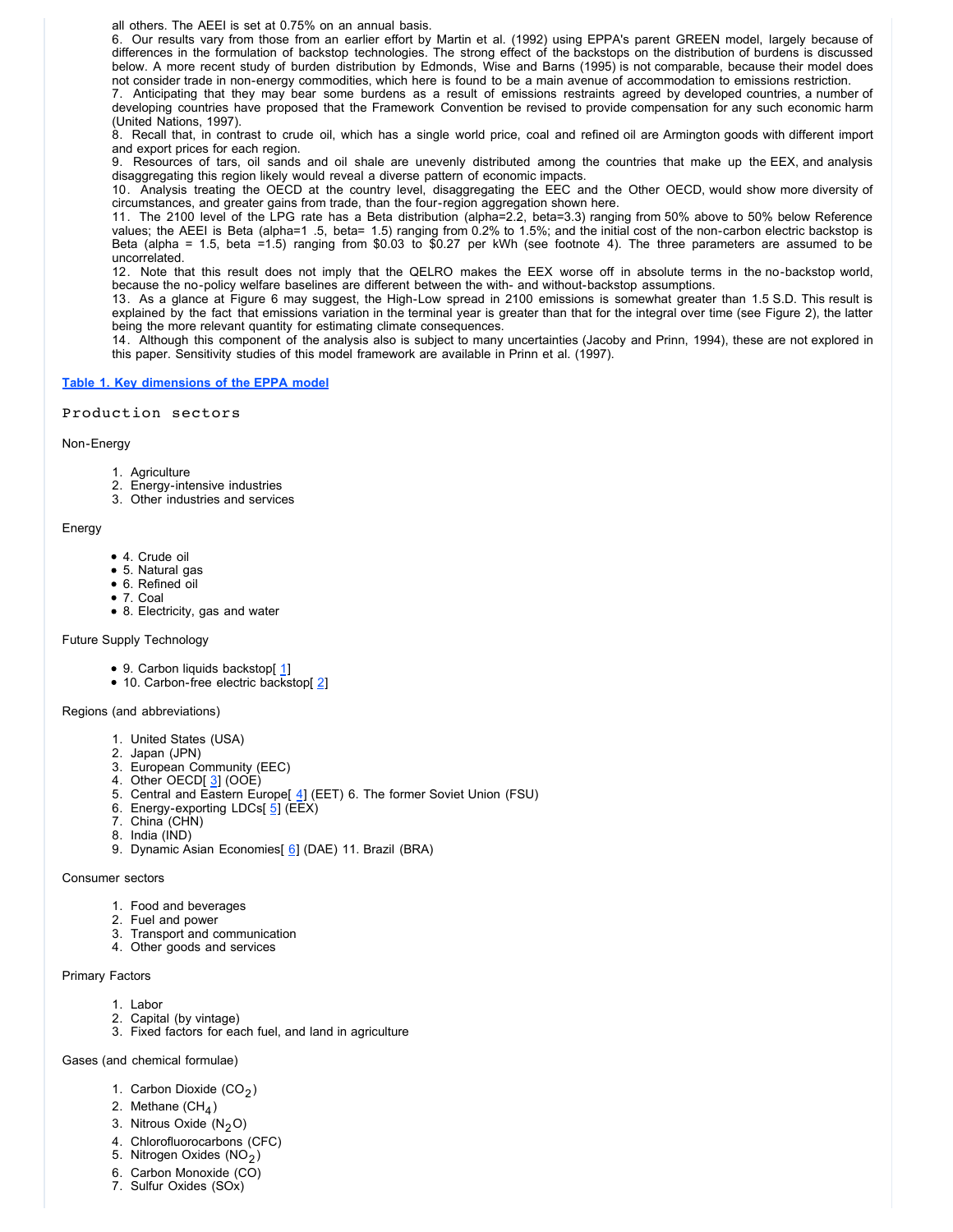all others. The AEEI is set at 0.75% on an annual basis.

6. Our results vary from those from an earlier effort by Martin et al. (1992) using EPPA's parent GREEN model, largely because of differences in the formulation of backstop technologies. The strong effect of the backstops on the distribution of burdens is discussed below. A more recent study of burden distribution by Edmonds, Wise and Barns (1995) is not comparable, because their model does not consider trade in non-energy commodities, which here is found to be a main avenue of accommodation to emissions restriction.

7. Anticipating that they may bear some burdens as a result of emissions restraints agreed by developed countries, a number of developing countries have proposed that the Framework Convention be revised to provide compensation for any such economic harm (United Nations, 1997).

8. Recall that, in contrast to crude oil, which has a single world price, coal and refined oil are Armington goods with different import and export prices for each region.

9. Resources of tars, oil sands and oil shale are unevenly distributed among the countries that make up the EEX, and analysis disaggregating this region likely would reveal a diverse pattern of economic impacts.

10. Analysis treating the OECD at the country level, disaggregating the EEC and the Other OECD, would show more diversity of circumstances, and greater gains from trade, than the four-region aggregation shown here.

11. The 2100 level of the LPG rate has a Beta distribution (alpha=2.2, beta=3.3) ranging from 50% above to 50% below Reference values; the AEEI is Beta (alpha=1 .5, beta= 1.5) ranging from 0.2% to 1.5%; and the initial cost of the non-carbon electric backstop is Beta (alpha = 1.5, beta =1.5) ranging from \$0.03 to \$0.27 per kWh (see footnote 4). The three parameters are assumed to be uncorrelated.

12. Note that this result does not imply that the QELRO makes the EEX worse off in absolute terms in the no-backstop world, because the no-policy welfare baselines are different between the with- and without-backstop assumptions.

13. As a glance at Figure 6 may suggest, the High-Low spread in 2100 emissions is somewhat greater than 1.5 S.D. This result is explained by the fact that emissions variation in the terminal year is greater than that for the integral over time (see Figure 2), the latter being the more relevant quantity for estimating climate consequences.

14. Although this component of the analysis also is subject to many uncertainties (Jacoby and Prinn, 1994), these are not explored in this paper. Sensitivity studies of this model framework are available in Prinn et al. (1997).

# **Table 1. Key dimensions of the EPPA model**

Production sectors

Non-Energy

- 1. Agriculture
- 2. Energy-intensive industries
- 3. Other industries and services

Energy

- 4. Crude oil
- 5. Natural gas
- 6. Refined oil
- 7. Coal
- 8. Electricity, gas and water

Future Supply Technology

- 9. Carbon liquids backstop[1]
- 10. Carbon-free electric backstop[2]

Regions (and abbreviations)

- 1. United States (USA)
- 2. Japan (JPN)
- 3. European Community (EEC)
- 4. Other OECD[ 3] (OOE)
- 5. Central and Eastern Europe[ 4] (EET) 6. The former Soviet Union (FSU)
- 6. Energy-exporting LDCs[ 5] (EEX)
- 7. China (CHN)
- 8. India (IND)
- 9. Dynamic Asian Economies[ 6] (DAE) 11. Brazil (BRA)

# Consumer sectors

- 1. Food and beverages
- 2. Fuel and power
- 3. Transport and communication
- 4. Other goods and services

# Primary Factors

- 1. Labor
- 2. Capital (by vintage)
- 3. Fixed factors for each fuel, and land in agriculture

Gases (and chemical formulae)

- 1. Carbon Dioxide  $(CO<sub>2</sub>)$
- 2. Methane  $(CH_A)$
- 3. Nitrous Oxide  $(N_2O)$
- 4. Chlorofluorocarbons (CFC)
- 5. Nitrogen Oxides (NO<sub>2</sub>)
- 6. Carbon Monoxide (CO)
- 7. Sulfur Oxides (SOx)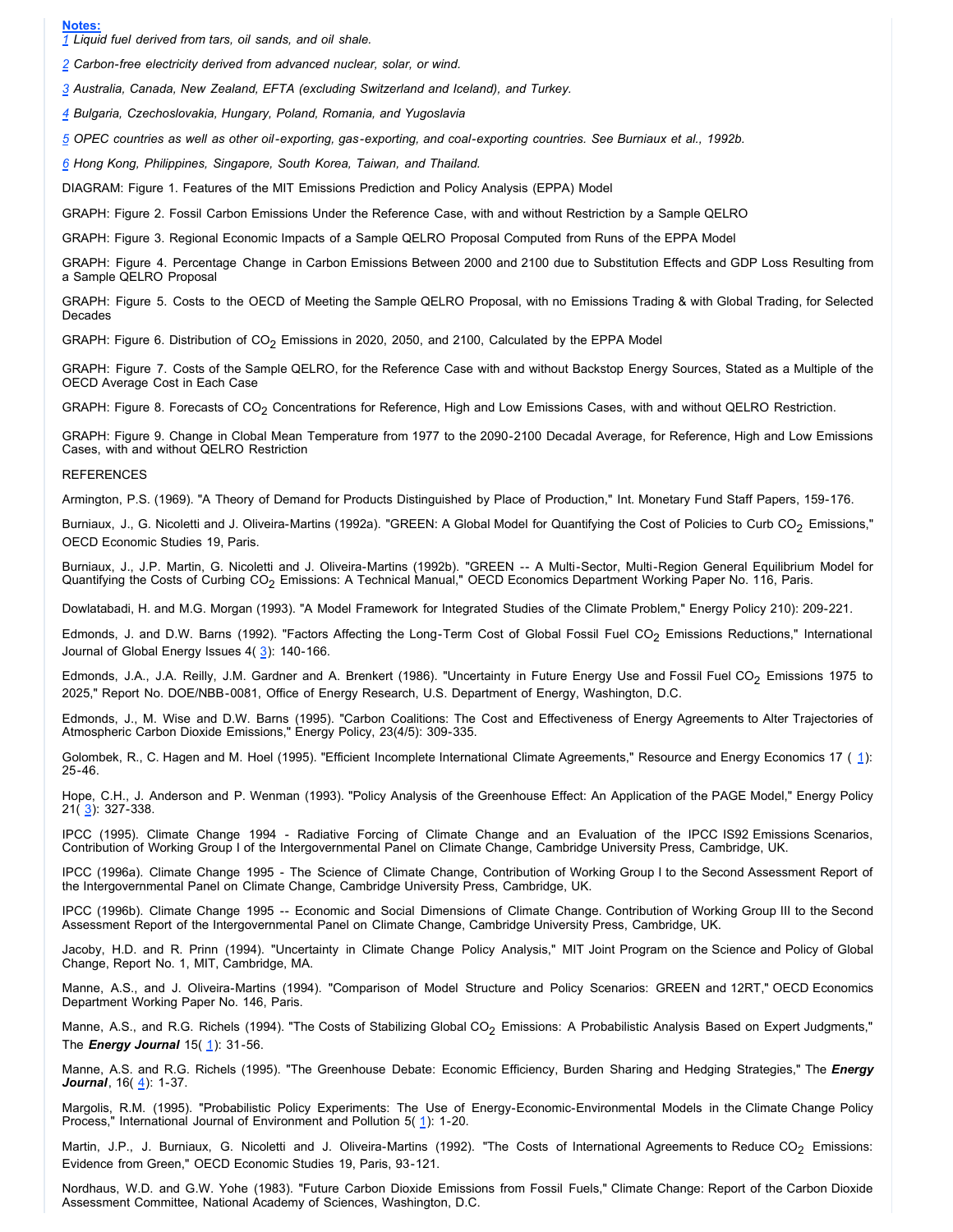# **Notes:**

*1 Liquid fuel derived from tars, oil sands, and oil shale.*

*2 Carbon-free electricity derived from advanced nuclear, solar, or wind.*

*3 Australia, Canada, New Zealand, EFTA (excluding Switzerland and Iceland), and Turkey.*

*4 Bulgaria, Czechoslovakia, Hungary, Poland, Romania, and Yugoslavia*

5 OPEC countries as well as other oil-exporting, gas-exporting, and coal-exporting countries. See Burniaux et al., 1992b.

*6 Hong Kong, Philippines, Singapore, South Korea, Taiwan, and Thailand.*

DIAGRAM: Figure 1. Features of the MIT Emissions Prediction and Policy Analysis (EPPA) Model

GRAPH: Figure 2. Fossil Carbon Emissions Under the Reference Case, with and without Restriction by a Sample QELRO

GRAPH: Figure 3. Regional Economic Impacts of a Sample QELRO Proposal Computed from Runs of the EPPA Model

GRAPH: Figure 4. Percentage Change in Carbon Emissions Between 2000 and 2100 due to Substitution Effects and GDP Loss Resulting from a Sample QELRO Proposal

GRAPH: Figure 5. Costs to the OECD of Meeting the Sample QELRO Proposal, with no Emissions Trading & with Global Trading, for Selected Decades

GRAPH: Figure 6. Distribution of CO<sub>2</sub> Emissions in 2020, 2050, and 2100, Calculated by the EPPA Model

GRAPH: Figure 7. Costs of the Sample QELRO, for the Reference Case with and without Backstop Energy Sources, Stated as a Multiple of the OECD Average Cost in Each Case

GRAPH: Figure 8. Forecasts of CO<sub>2</sub> Concentrations for Reference, High and Low Emissions Cases, with and without QELRO Restriction.

GRAPH: Figure 9. Change in Clobal Mean Temperature from 1977 to the 2090-2100 Decadal Average, for Reference, High and Low Emissions Cases, with and without QELRO Restriction

#### **REFERENCES**

Armington, P.S. (1969). "A Theory of Demand for Products Distinguished by Place of Production," Int. Monetary Fund Staff Papers, 159-176.

Burniaux, J., G. Nicoletti and J. Oliveira-Martins (1992a). "GREEN: A Global Model for Quantifying the Cost of Policies to Curb CO<sub>2</sub> Emissions," OECD Economic Studies 19, Paris.

Burniaux, J., J.P. Martin, G. Nicoletti and J. Oliveira-Martins (1992b). "GREEN -- A Multi-Sector, Multi-Region General Equilibrium Model for Quantifying the Costs of Curbing CO<sub>2</sub> Emissions: A Technical Manual," OECD Economics Department Working Paper No. 116, Paris.

Dowlatabadi, H. and M.G. Morgan (1993). "A Model Framework for Integrated Studies of the Climate Problem," Energy Policy 210): 209-221.

Edmonds, J. and D.W. Barns (1992). "Factors Affecting the Long-Term Cost of Global Fossil Fuel CO<sub>2</sub> Emissions Reductions," International Journal of Global Energy Issues  $4(\frac{3}{2})$ : 140-166.

Edmonds, J.A., J.A. Reilly, J.M. Gardner and A. Brenkert (1986). "Uncertainty in Future Energy Use and Fossil Fuel CO<sub>2</sub> Emissions 1975 to 2025," Report No. DOE/NBB-0081, Office of Energy Research, U.S. Department of Energy, Washington, D.C.

Edmonds, J., M. Wise and D.W. Barns (1995). "Carbon Coalitions: The Cost and Effectiveness of Energy Agreements to Alter Trajectories of Atmospheric Carbon Dioxide Emissions," Energy Policy, 23(4/5): 309-335.

Golombek, R., C. Hagen and M. Hoel (1995). "Efficient Incomplete International Climate Agreements," Resource and Energy Economics 17 (1): 25-46.

Hope, C.H., J. Anderson and P. Wenman (1993). "Policy Analysis of the Greenhouse Effect: An Application of the PAGE Model," Energy Policy  $21(\underline{3})$ : 327-338.

IPCC (1995). Climate Change 1994 - Radiative Forcing of Climate Change and an Evaluation of the IPCC IS92 Emissions Scenarios, Contribution of Working Group I of the Intergovernmental Panel on Climate Change, Cambridge University Press, Cambridge, UK.

IPCC (1996a). Climate Change 1995 - The Science of Climate Change, Contribution of Working Group I to the Second Assessment Report of the Intergovernmental Panel on Climate Change, Cambridge University Press, Cambridge, UK.

IPCC (1996b). Climate Change 1995 -- Economic and Social Dimensions of Climate Change. Contribution of Working Group III to the Second Assessment Report of the Intergovernmental Panel on Climate Change, Cambridge University Press, Cambridge, UK.

Jacoby, H.D. and R. Prinn (1994). "Uncertainty in Climate Change Policy Analysis," MIT Joint Program on the Science and Policy of Global Change, Report No. 1, MIT, Cambridge, MA.

Manne, A.S., and J. Oliveira-Martins (1994). "Comparison of Model Structure and Policy Scenarios: GREEN and 12RT," OECD Economics Department Working Paper No. 146, Paris.

Manne, A.S., and R.G. Richels (1994). "The Costs of Stabilizing Global CO<sub>2</sub> Emissions: A Probabilistic Analysis Based on Expert Judgments," The *Energy Journal* 15( 1): 31-56.

Manne, A.S. and R.G. Richels (1995). "The Greenhouse Debate: Economic Efficiency, Burden Sharing and Hedging Strategies," The *Energy Journal*, 16( $\frac{4}{1}$ : 1-37.

Margolis, R.M. (1995). "Probabilistic Policy Experiments: The Use of Energy-Economic-Environmental Models in the Climate Change Policy Process," International Journal of Environment and Pollution 5(1): 1-20.

Martin, J.P., J. Burniaux, G. Nicoletti and J. Oliveira-Martins (1992). "The Costs of International Agreements to Reduce CO<sub>2</sub> Emissions: Evidence from Green," OECD Economic Studies 19, Paris, 93-121.

Nordhaus, W.D. and G.W. Yohe (1983). "Future Carbon Dioxide Emissions from Fossil Fuels," Climate Change: Report of the Carbon Dioxide Assessment Committee, National Academy of Sciences, Washington, D.C.